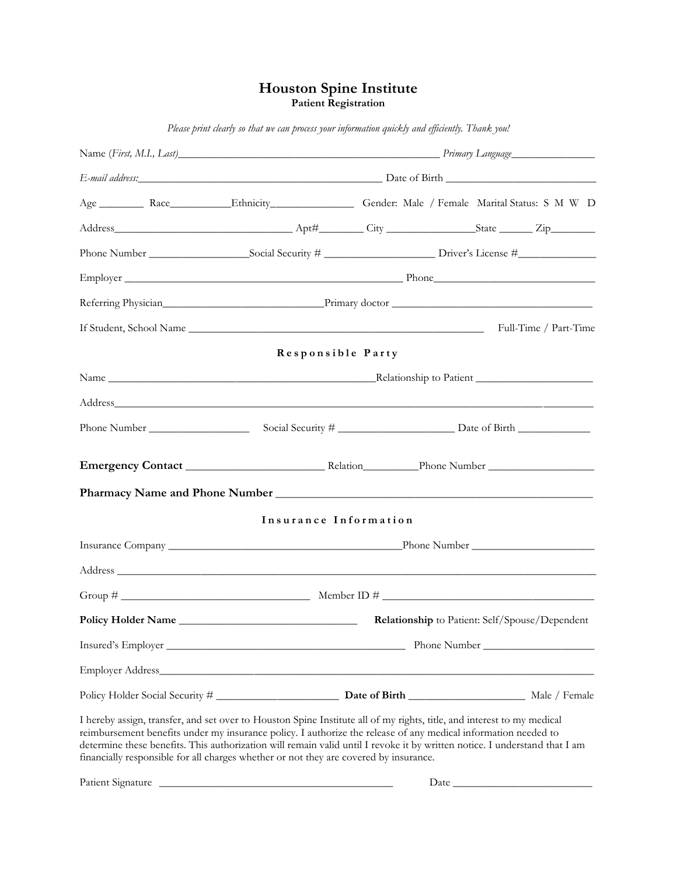### **Houston Spine Institute Patient Registration**

| Employer Phone Phone Phone Phone Phone Phone Phone Phone Phone Phone Phone Phone Phone Phone Phone Phone Phone Phone Phone Phone Phone Phone Phone Phone Phone Phone Phone Phone Phone Phone Phone Phone Phone Phone Phone Pho                                                                                                                                                                                                                                  |  |      |                                                |  |  |
|-----------------------------------------------------------------------------------------------------------------------------------------------------------------------------------------------------------------------------------------------------------------------------------------------------------------------------------------------------------------------------------------------------------------------------------------------------------------|--|------|------------------------------------------------|--|--|
|                                                                                                                                                                                                                                                                                                                                                                                                                                                                 |  |      |                                                |  |  |
|                                                                                                                                                                                                                                                                                                                                                                                                                                                                 |  |      |                                                |  |  |
| Responsible Party                                                                                                                                                                                                                                                                                                                                                                                                                                               |  |      |                                                |  |  |
|                                                                                                                                                                                                                                                                                                                                                                                                                                                                 |  |      |                                                |  |  |
|                                                                                                                                                                                                                                                                                                                                                                                                                                                                 |  |      |                                                |  |  |
|                                                                                                                                                                                                                                                                                                                                                                                                                                                                 |  |      |                                                |  |  |
|                                                                                                                                                                                                                                                                                                                                                                                                                                                                 |  |      |                                                |  |  |
|                                                                                                                                                                                                                                                                                                                                                                                                                                                                 |  |      |                                                |  |  |
| Insurance Information                                                                                                                                                                                                                                                                                                                                                                                                                                           |  |      |                                                |  |  |
|                                                                                                                                                                                                                                                                                                                                                                                                                                                                 |  |      |                                                |  |  |
|                                                                                                                                                                                                                                                                                                                                                                                                                                                                 |  |      |                                                |  |  |
|                                                                                                                                                                                                                                                                                                                                                                                                                                                                 |  |      |                                                |  |  |
| Policy Holder Name                                                                                                                                                                                                                                                                                                                                                                                                                                              |  |      | Relationship to Patient: Self/Spouse/Dependent |  |  |
|                                                                                                                                                                                                                                                                                                                                                                                                                                                                 |  |      |                                                |  |  |
|                                                                                                                                                                                                                                                                                                                                                                                                                                                                 |  |      |                                                |  |  |
|                                                                                                                                                                                                                                                                                                                                                                                                                                                                 |  |      |                                                |  |  |
| I hereby assign, transfer, and set over to Houston Spine Institute all of my rights, title, and interest to my medical<br>reimbursement benefits under my insurance policy. I authorize the release of any medical information needed to<br>determine these benefits. This authorization will remain valid until I revoke it by written notice. I understand that I am<br>financially responsible for all charges whether or not they are covered by insurance. |  |      |                                                |  |  |
|                                                                                                                                                                                                                                                                                                                                                                                                                                                                 |  | Date |                                                |  |  |

*Please print clearly so that we can process your information quickly and efficiently. Thank you!*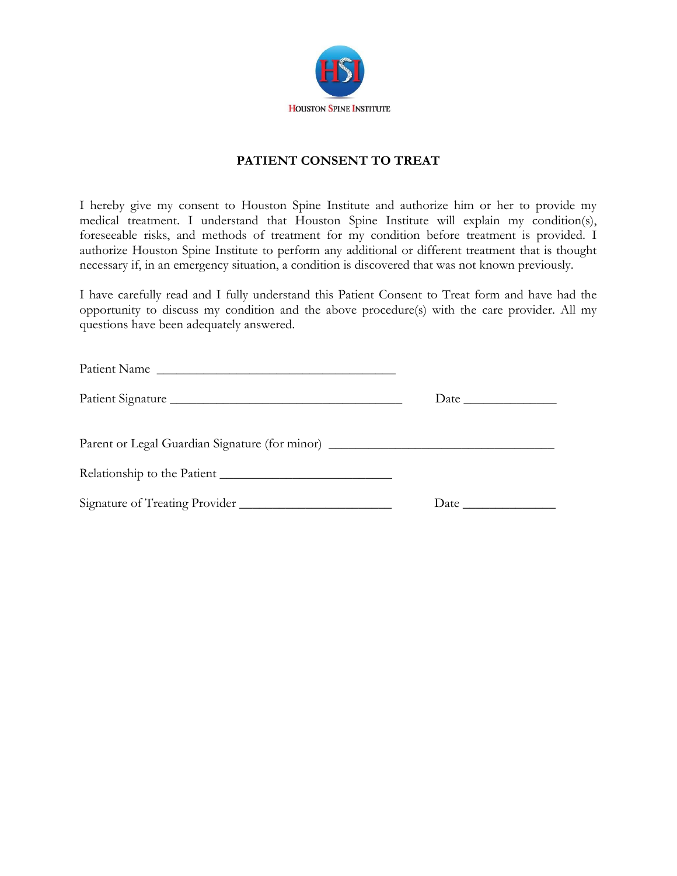

## **PATIENT CONSENT TO TREAT**

I hereby give my consent to Houston Spine Institute and authorize him or her to provide my medical treatment. I understand that Houston Spine Institute will explain my condition(s), foreseeable risks, and methods of treatment for my condition before treatment is provided. I authorize Houston Spine Institute to perform any additional or different treatment that is thought necessary if, in an emergency situation, a condition is discovered that was not known previously.

I have carefully read and I fully understand this Patient Consent to Treat form and have had the opportunity to discuss my condition and the above procedure(s) with the care provider. All my questions have been adequately answered.

| Patient Name                                                                     |  |
|----------------------------------------------------------------------------------|--|
|                                                                                  |  |
| Parent or Legal Guardian Signature (for minor) _________________________________ |  |
|                                                                                  |  |
| Signature of Treating Provider                                                   |  |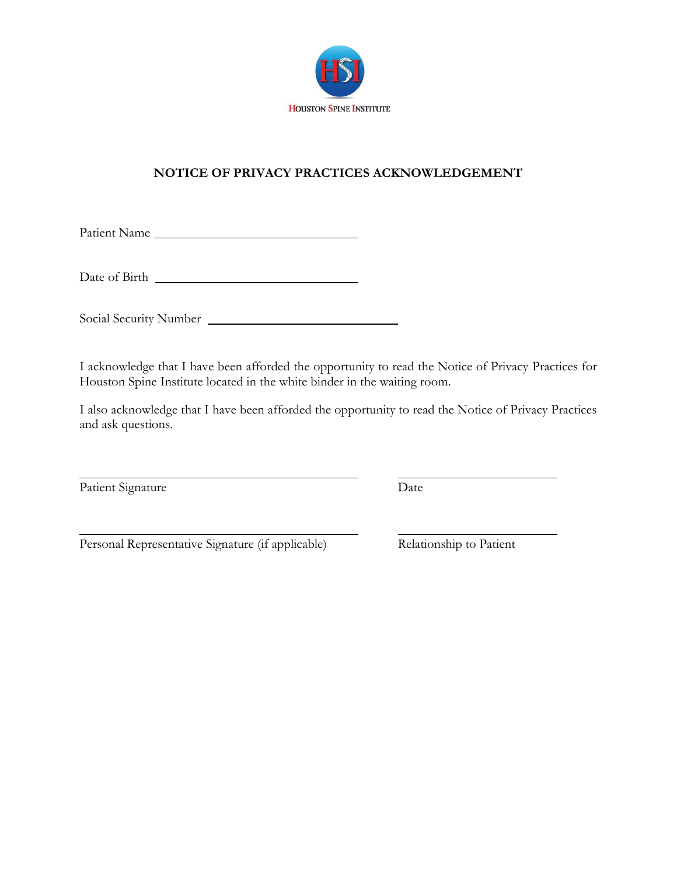

# **NOTICE OF PRIVACY PRACTICES ACKNOWLEDGEMENT**

Patient Name

Date of Birth

Social Security Number

I acknowledge that I have been afforded the opportunity to read the Notice of Privacy Practices for Houston Spine Institute located in the white binder in the waiting room.

I also acknowledge that I have been afforded the opportunity to read the Notice of Privacy Practices and ask questions.

Patient Signature Date

Personal Representative Signature (if applicable) Relationship to Patient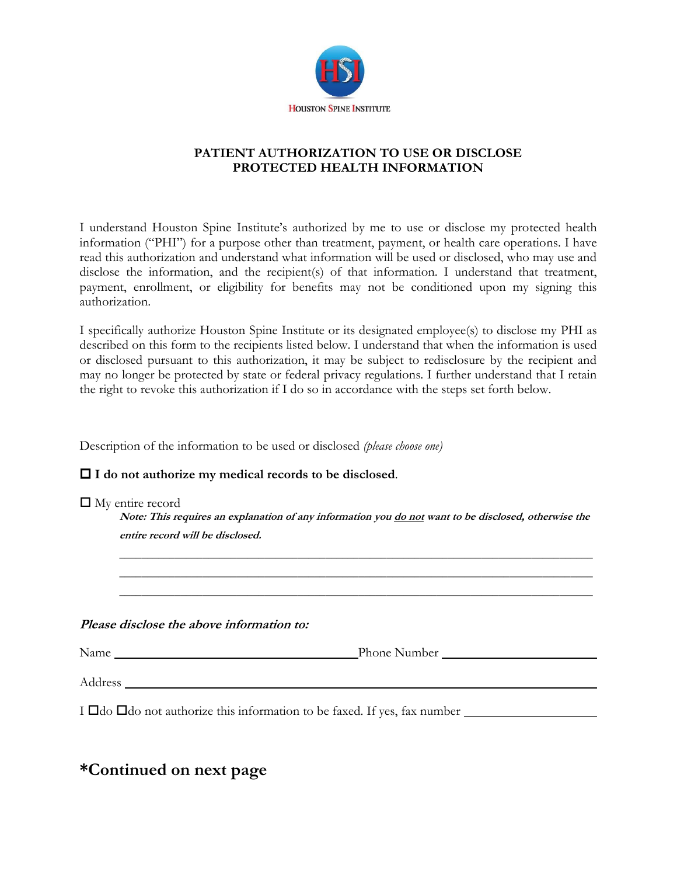

## **PATIENT AUTHORIZATION TO USE OR DISCLOSE PROTECTED HEALTH INFORMATION**

I understand Houston Spine Institute's authorized by me to use or disclose my protected health information ("PHI") for a purpose other than treatment, payment, or health care operations. I have read this authorization and understand what information will be used or disclosed, who may use and disclose the information, and the recipient(s) of that information. I understand that treatment, payment, enrollment, or eligibility for benefits may not be conditioned upon my signing this authorization.

I specifically authorize Houston Spine Institute or its designated employee(s) to disclose my PHI as described on this form to the recipients listed below. I understand that when the information is used or disclosed pursuant to this authorization, it may be subject to redisclosure by the recipient and may no longer be protected by state or federal privacy regulations. I further understand that I retain the right to revoke this authorization if I do so in accordance with the steps set forth below.

Description of the information to be used or disclosed *(please choose one)*

**I do not authorize my medical records to be disclosed**.

| $\Box$ My entire record |
|-------------------------|
|-------------------------|

**Note: This requires an explanation of any information you do not want to be disclosed, otherwise the entire record will be disclosed.**

\_\_\_\_\_\_\_\_\_\_\_\_\_\_\_\_\_\_\_\_\_\_\_\_\_\_\_\_\_\_\_\_\_\_\_\_\_\_\_\_\_\_\_\_\_\_\_\_\_\_\_\_\_\_\_\_\_\_\_\_\_\_\_\_\_\_\_\_\_\_\_\_\_\_\_\_\_\_\_\_\_\_\_\_\_ \_\_\_\_\_\_\_\_\_\_\_\_\_\_\_\_\_\_\_\_\_\_\_\_\_\_\_\_\_\_\_\_\_\_\_\_\_\_\_\_\_\_\_\_\_\_\_\_\_\_\_\_\_\_\_\_\_\_\_\_\_\_\_\_\_\_\_\_\_\_\_\_\_\_\_\_\_\_\_\_\_\_\_\_\_ \_\_\_\_\_\_\_\_\_\_\_\_\_\_\_\_\_\_\_\_\_\_\_\_\_\_\_\_\_\_\_\_\_\_\_\_\_\_\_\_\_\_\_\_\_\_\_\_\_\_\_\_\_\_\_\_\_\_\_\_\_\_\_\_\_\_\_\_\_\_\_\_\_\_\_\_\_\_\_\_\_\_\_\_\_

**Please disclose the above information to:**

| Name    | Phone Number |  |
|---------|--------------|--|
|         |              |  |
| Address |              |  |

I  $\Box$ do  $\Box$ do not authorize this information to be faxed. If yes, fax number

**\*Continued on next page**